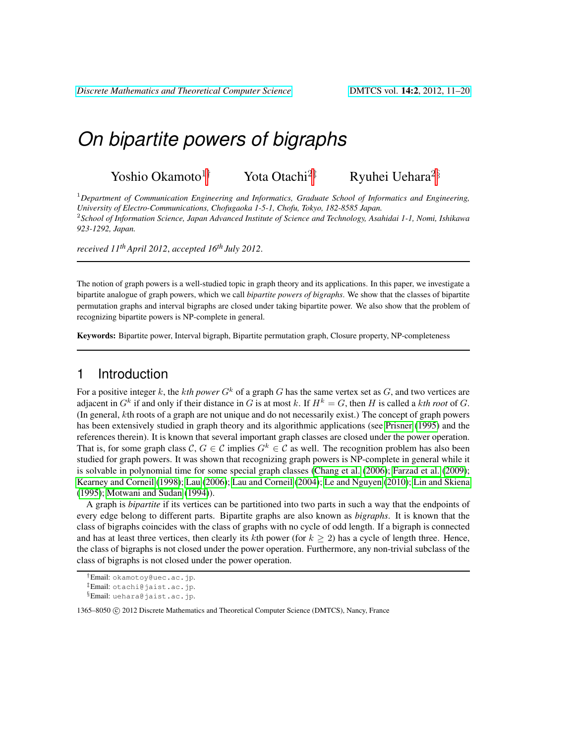# *On bipartite powers of bigraphs*

Yoshio Okamoto<sup>1†</sup> Yota Otachi<sup>2‡</sup> Ryuhei Uehara<sup>2§</sup>

<sup>1</sup>*Department of Communication Engineering and Informatics, Graduate School of Informatics and Engineering, University of Electro-Communications, Chofugaoka 1-5-1, Chofu, Tokyo, 182-8585 Japan.* 2 *School of Information Science, Japan Advanced Institute of Science and Technology, Asahidai 1-1, Nomi, Ishikawa 923-1292, Japan.*

*received 11thApril 2012*, *accepted 16th July 2012*.

The notion of graph powers is a well-studied topic in graph theory and its applications. In this paper, we investigate a bipartite analogue of graph powers, which we call *bipartite powers of bigraphs*. We show that the classes of bipartite permutation graphs and interval bigraphs are closed under taking bipartite power. We also show that the problem of recognizing bipartite powers is NP-complete in general.

Keywords: Bipartite power, Interval bigraph, Bipartite permutation graph, Closure property, NP-completeness

## 1 Introduction

For a positive integer k, the kth power  $G<sup>k</sup>$  of a graph G has the same vertex set as  $G$ , and two vertices are adjacent in  $G^k$  if and only if their distance in G is at most k. If  $H^k = G$ , then H is called a kth root of G. (In general, kth roots of a graph are not unique and do not necessarily exist.) The concept of graph powers has been extensively studied in graph theory and its algorithmic applications (see [Prisner](#page-9-0) [\(1995\)](#page-9-0) and the references therein). It is known that several important graph classes are closed under the power operation. That is, for some graph class  $C, G \in \mathcal{C}$  implies  $G^k \in \mathcal{C}$  as well. The recognition problem has also been studied for graph powers. It was shown that recognizing graph powers is NP-complete in general while it is solvable in polynomial time for some special graph classes [\(Chang et al.](#page-8-0) [\(2006\)](#page-8-0); [Farzad et al.](#page-8-1) [\(2009\)](#page-8-1); [Kearney and Corneil](#page-8-2) [\(1998\)](#page-8-2); [Lau](#page-9-1) [\(2006\)](#page-9-1); [Lau and Corneil](#page-9-2) [\(2004\)](#page-9-2); [Le and Nguyen](#page-9-3) [\(2010\)](#page-9-3); [Lin and Skiena](#page-9-4) [\(1995\)](#page-9-4); [Motwani and Sudan](#page-9-5) [\(1994\)](#page-9-5)).

A graph is *bipartite* if its vertices can be partitioned into two parts in such a way that the endpoints of every edge belong to different parts. Bipartite graphs are also known as *bigraphs*. It is known that the class of bigraphs coincides with the class of graphs with no cycle of odd length. If a bigraph is connected and has at least three vertices, then clearly its kth power (for  $k \geq 2$ ) has a cycle of length three. Hence, the class of bigraphs is not closed under the power operation. Furthermore, any non-trivial subclass of the class of bigraphs is not closed under the power operation.

<sup>†</sup>Email: okamotoy@uec.ac.jp. ‡Email: otachi@jaist.ac.jp.

<sup>§</sup>Email: uehara@jaist.ac.jp.

<sup>1365–8050 (</sup>C) 2012 Discrete Mathematics and Theoretical Computer Science (DMTCS), Nancy, France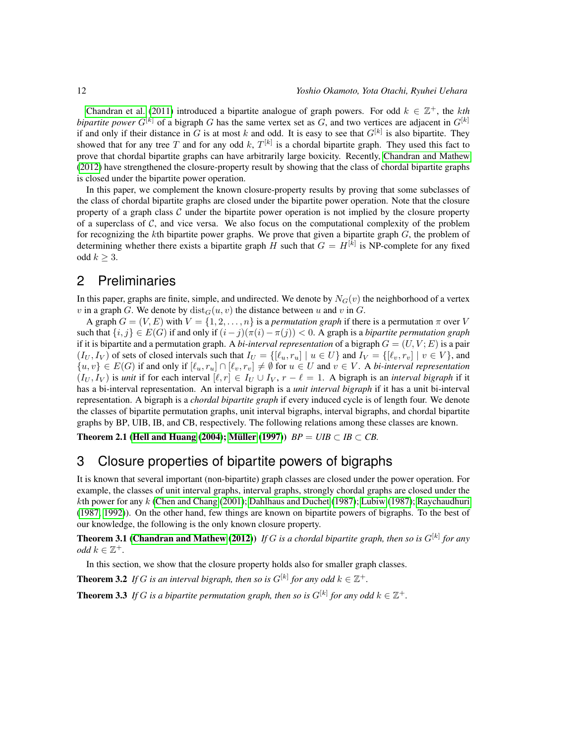[Chandran et al.](#page-8-3) [\(2011\)](#page-8-3) introduced a bipartite analogue of graph powers. For odd  $k \in \mathbb{Z}^+$ , the *kth bipartite power*  $G^{[k]}$  of a bigraph G has the same vertex set as G, and two vertices are adjacent in  $G^{[k]}$ if and only if their distance in G is at most k and odd. It is easy to see that  $G^{[k]}$  is also bipartite. They showed that for any tree T and for any odd k,  $T^{[k]}$  is a chordal bipartite graph. They used this fact to prove that chordal bipartite graphs can have arbitrarily large boxicity. Recently, [Chandran and Mathew](#page-8-4) [\(2012\)](#page-8-4) have strengthened the closure-property result by showing that the class of chordal bipartite graphs is closed under the bipartite power operation.

In this paper, we complement the known closure-property results by proving that some subclasses of the class of chordal bipartite graphs are closed under the bipartite power operation. Note that the closure property of a graph class  $\mathcal C$  under the bipartite power operation is not implied by the closure property of a superclass of  $C$ , and vice versa. We also focus on the computational complexity of the problem for recognizing the kth bipartite power graphs. We prove that given a bipartite graph  $G$ , the problem of determining whether there exists a bipartite graph H such that  $G = H^{[k]}$  is NP-complete for any fixed odd  $k \geq 3$ .

## 2 Preliminaries

In this paper, graphs are finite, simple, and undirected. We denote by  $N<sub>G</sub>(v)$  the neighborhood of a vertex v in a graph G. We denote by  $dist_G(u, v)$  the distance between u and v in G.

A graph  $G = (V, E)$  with  $V = \{1, 2, ..., n\}$  is a *permutation graph* if there is a permutation  $\pi$  over V such that  $\{i, j\} \in E(G)$  if and only if  $(i - j)(\pi(i) - \pi(j)) < 0$ . A graph is a *bipartite permutation graph* if it is bipartite and a permutation graph. A *bi-interval representation* of a bigraph  $G = (U, V; E)$  is a pair  $(I_U, I_V)$  of sets of closed intervals such that  $I_U = \{[\ell_u, r_u] | u \in U\}$  and  $I_V = \{[\ell_v, r_v] | v \in V\}$ , and  $\{u, v\} \in E(G)$  if and only if  $[\ell_u, r_u] \cap [\ell_v, r_v] \neq \emptyset$  for  $u \in U$  and  $v \in V$ . A *bi-interval representation*  $(I_U, I_V)$  is *unit* if for each interval  $[\ell, r] \in I_U \cup I_V$ ,  $r - \ell = 1$ . A bigraph is an *interval bigraph* if it has a bi-interval representation. An interval bigraph is a *unit interval bigraph* if it has a unit bi-interval representation. A bigraph is a *chordal bipartite graph* if every induced cycle is of length four. We denote the classes of bipartite permutation graphs, unit interval bigraphs, interval bigraphs, and chordal bipartite graphs by BP, UIB, IB, and CB, respectively. The following relations among these classes are known.

Theorem 2.1 [\(Hell and Huang](#page-8-5) [\(2004\)](#page-8-5); Müller [\(1997\)](#page-9-6))  $BP = UIB \subset IB \subset CB$ .

## 3 Closure properties of bipartite powers of bigraphs

It is known that several important (non-bipartite) graph classes are closed under the power operation. For example, the classes of unit interval graphs, interval graphs, strongly chordal graphs are closed under the kth power for any k [\(Chen and Chang](#page-8-6) [\(2001\)](#page-8-6); [Dahlhaus and Duchet](#page-8-7) [\(1987\)](#page-9-7); [Lubiw](#page-9-7) (1987); [Raychaudhuri](#page-9-8) [\(1987,](#page-9-8) [1992\)](#page-9-9)). On the other hand, few things are known on bipartite powers of bigraphs. To the best of our knowledge, the following is the only known closure property.

**Theorem 3.1 [\(Chandran and Mathew](#page-8-4) [\(2012\)](#page-8-4))** If G is a chordal bipartite graph, then so is  $G^{[k]}$  for any  $odd \ k \in \mathbb{Z}^+.$ 

<span id="page-1-1"></span><span id="page-1-0"></span>In this section, we show that the closure property holds also for smaller graph classes.

**Theorem 3.2** If G is an interval bigraph, then so is  $G^{[k]}$  for any odd  $k \in \mathbb{Z}^+$ .

<span id="page-1-2"></span>**Theorem 3.3** If G is a bipartite permutation graph, then so is  $G^{[k]}$  for any odd  $k \in \mathbb{Z}^+$ .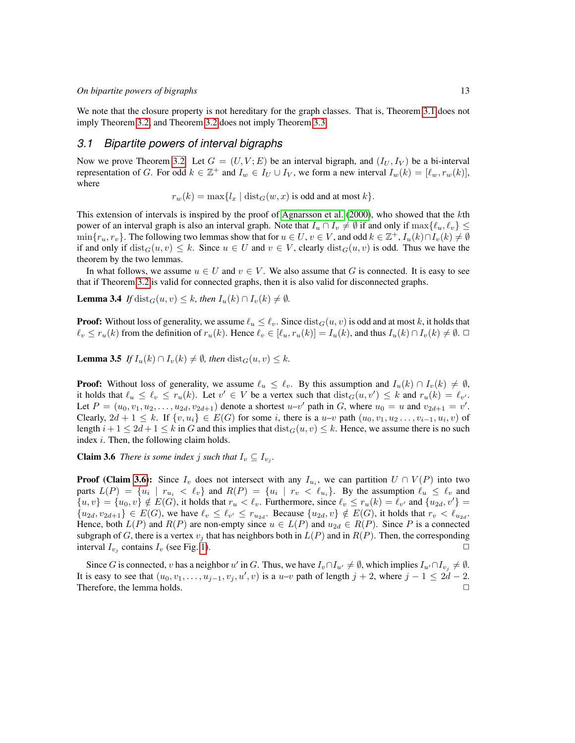We note that the closure property is not hereditary for the graph classes. That is, Theorem [3.1](#page-1-0) does not imply Theorem [3.2,](#page-1-1) and Theorem [3.2](#page-1-1) does not imply Theorem [3.3.](#page-1-2)

## *3.1 Bipartite powers of interval bigraphs*

Now we prove Theorem [3.2.](#page-1-1) Let  $G = (U, V; E)$  be an interval bigraph, and  $(I_U, I_V)$  be a bi-interval representation of G. For odd  $k \in \mathbb{Z}^+$  and  $I_w \in I_U \cup I_V$ , we form a new interval  $I_w(k) = [\ell_w, r_w(k)]$ , where

 $r_w(k) = \max\{l_x \mid \text{dist}_G(w, x) \text{ is odd and at most } k\}.$ 

This extension of intervals is inspired by the proof of [Agnarsson et al.](#page-8-8) [\(2000\)](#page-8-8), who showed that the kth power of an interval graph is also an interval graph. Note that  $I_u \cap I_v \neq \emptyset$  if and only if  $\max\{\ell_u, \ell_v\} \leq$  $\min\{r_u, r_v\}$ . The following two lemmas show that for  $u \in U$ ,  $v \in V$ , and odd  $k \in \mathbb{Z}^+$ ,  $I_u(k) \cap I_v(k) \neq \emptyset$ if and only if  $dist_G(u, v) \leq k$ . Since  $u \in U$  and  $v \in V$ , clearly  $dist_G(u, v)$  is odd. Thus we have the theorem by the two lemmas.

In what follows, we assume  $u \in U$  and  $v \in V$ . We also assume that G is connected. It is easy to see that if Theorem [3.2](#page-1-1) is valid for connected graphs, then it is also valid for disconnected graphs.

**Lemma 3.4** *If* dist<sub>G</sub>( $u, v$ )  $\leq k$ *, then*  $I_u(k) \cap I_v(k) \neq \emptyset$ *.* 

**Proof:** Without loss of generality, we assume  $\ell_u \leq \ell_v$ . Since  $dist_G(u, v)$  is odd and at most k, it holds that  $\ell_v \leq r_u(k)$  from the definition of  $r_u(k)$ . Hence  $\ell_v \in [\ell_u, r_u(k)] = I_u(k)$ , and thus  $I_u(k) \cap I_v(k) \neq \emptyset$ .

**Lemma 3.5** *If*  $I_u(k) \cap I_v(k) \neq \emptyset$ , then  $dist_G(u, v) \leq k$ .

**Proof:** Without loss of generality, we assume  $\ell_u \leq \ell_v$ . By this assumption and  $I_u(k) \cap I_v(k) \neq \emptyset$ , it holds that  $\ell_u \leq \ell_v \leq r_u(k)$ . Let  $v' \in V$  be a vertex such that  $dist_G(u, v') \leq k$  and  $r_u(k) = \ell_{v'}$ . Let  $P = (u_0, v_1, u_2, \dots, u_{2d}, v_{2d+1})$  denote a shortest  $u-v'$  path in G, where  $u_0 = u$  and  $v_{2d+1} = v'$ . Clearly,  $2d + 1 \leq k$ . If  $\{v, u_i\} \in E(G)$  for some i, there is a u–v path  $(u_0, v_1, u_2, \ldots, v_{i-1}, u_i, v)$  of length  $i + 1 \le 2d + 1 \le k$  in G and this implies that  $dist_G(u, v) \le k$ . Hence, we assume there is no such index  $i$ . Then, the following claim holds.

<span id="page-2-0"></span>**Claim 3.6** *There is some index j such that*  $I_v \subseteq I_{v_j}$ .

**Proof (Claim [3.6\)](#page-2-0):** Since  $I_v$  does not intersect with any  $I_{u_i}$ , we can partition  $U \cap V(P)$  into two parts  $L(P) = \{u_i \mid r_{u_i} < \ell_v \}$  and  $R(P) = \{u_i \mid r_v < \ell_{u_i} \}$ . By the assumption  $\ell_u \leq \ell_v$  and  ${u, v} = {u_0, v} \notin E(G)$ , it holds that  $r_u < \ell_v$ . Furthermore, since  $\ell_v \le r_u(k) = \ell_{v'}$  and  ${u_{2d}, v'} =$  ${u_{2d}, v_{2d+1}} \in E(G)$ , we have  $\ell_v \leq \ell_{v'} \leq r_{u_{2d}}$ . Because  ${u_{2d}, v} \notin E(G)$ , it holds that  $r_v < \ell_{u_{2d}}$ . Hence, both  $L(P)$  and  $R(P)$  are non-empty since  $u \in L(P)$  and  $u_{2d} \in R(P)$ . Since P is a connected subgraph of G, there is a vertex  $v_j$  that has neighbors both in  $L(P)$  and in  $R(P)$ . Then, the corresponding interval  $I_{v_j}$  contains  $I_v$  (see Fig. [1\)](#page-3-0).

Since G is connected, v has a neighbor u' in G. Thus, we have  $I_v \cap I_{u'} \neq \emptyset$ , which implies  $I_{u'} \cap I_{v_j} \neq \emptyset$ . It is easy to see that  $(u_0, v_1, \ldots, u_{j-1}, v_j, u', v)$  is a  $u-v$  path of length  $j + 2$ , where  $j - 1 \leq 2d - 2$ . Therefore, the lemma holds.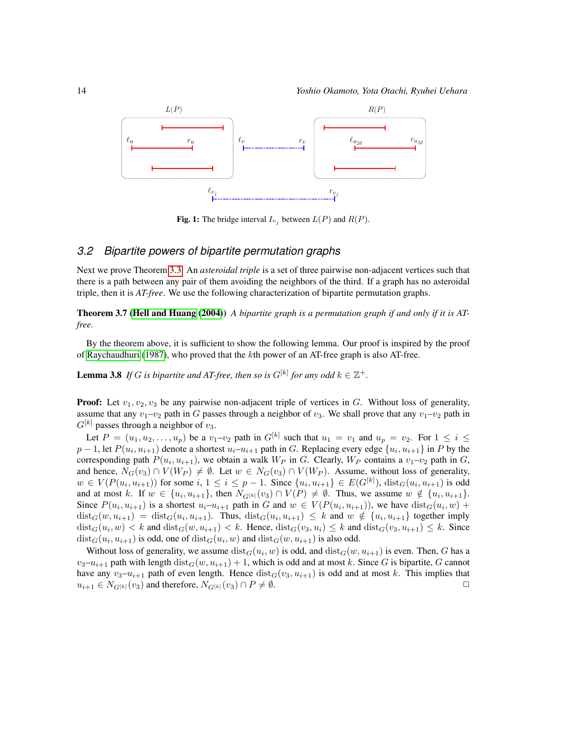

<span id="page-3-0"></span>**Fig. 1:** The bridge interval  $I_{v_j}$  between  $L(P)$  and  $R(P)$ .

### *3.2 Bipartite powers of bipartite permutation graphs*

Next we prove Theorem [3.3.](#page-1-2) An *asteroidal triple* is a set of three pairwise non-adjacent vertices such that there is a path between any pair of them avoiding the neighbors of the third. If a graph has no asteroidal triple, then it is *AT-free*. We use the following characterization of bipartite permutation graphs.

Theorem 3.7 [\(Hell and Huang](#page-8-5) [\(2004\)](#page-8-5)) *A bipartite graph is a permutation graph if and only if it is ATfree.*

By the theorem above, it is sufficient to show the following lemma. Our proof is inspired by the proof of [Raychaudhuri](#page-9-8) [\(1987\)](#page-9-8), who proved that the kth power of an AT-free graph is also AT-free.

**Lemma 3.8** If G is bipartite and AT-free, then so is  $G^{[k]}$  for any odd  $k \in \mathbb{Z}^+$ .

**Proof:** Let  $v_1, v_2, v_3$  be any pairwise non-adjacent triple of vertices in G. Without loss of generality, assume that any  $v_1-v_2$  path in G passes through a neighbor of  $v_3$ . We shall prove that any  $v_1-v_2$  path in  $G^{[k]}$  passes through a neighbor of  $v_3$ .

Let  $P = (u_1, u_2, \dots, u_p)$  be a  $v_1-v_2$  path in  $G^{[k]}$  such that  $u_1 = v_1$  and  $u_p = v_2$ . For  $1 \le i \le n$  $p-1$ , let  $P(u_i, u_{i+1})$  denote a shortest  $u_i-u_{i+1}$  path in G. Replacing every edge  $\{u_i, u_{i+1}\}$  in P by the corresponding path  $P(u_i, u_{i+1})$ , we obtain a walk  $W_P$  in G. Clearly,  $W_P$  contains a  $v_1-v_2$  path in G, and hence,  $N_G(v_3) \cap V(W_P) \neq \emptyset$ . Let  $w \in N_G(v_3) \cap V(W_P)$ . Assume, without loss of generality,  $w \in V(P(u_i, u_{i+1}))$  for some  $i, 1 \le i \le p-1$ . Since  $\{u_i, u_{i+1}\} \in E(G^{[k]})$ ,  $dist_G(u_i, u_{i+1})$  is odd and at most k. If  $w \in \{u_i, u_{i+1}\}$ , then  $N_{G[k]}(v_3) \cap V(P) \neq \emptyset$ . Thus, we assume  $w \notin \{u_i, u_{i+1}\}$ . Since  $P(u_i, u_{i+1})$  is a shortest  $u_i-u_{i+1}$  path in G and  $w \in V(P(u_i, u_{i+1}))$ , we have  $dist_G(u_i, w)$  +  $dist_G(w, u_{i+1}) = dist_G(u_i, u_{i+1})$ . Thus,  $dist_G(u_i, u_{i+1}) \leq k$  and  $w \notin \{u_i, u_{i+1}\}$  together imply  $dist_G(u_i, w) < k$  and  $dist_G(w, u_{i+1}) < k$ . Hence,  $dist_G(v_3, u_i) \le k$  and  $dist_G(v_3, u_{i+1}) \le k$ . Since  $dist_G(u_i, u_{i+1})$  is odd, one of  $dist_G(u_i, w)$  and  $dist_G(w, u_{i+1})$  is also odd.

Without loss of generality, we assume  $dist_G(u_i, w)$  is odd, and  $dist_G(w, u_{i+1})$  is even. Then, G has a  $v_3-u_{i+1}$  path with length  $dist_G(w, u_{i+1}) + 1$ , which is odd and at most k. Since G is bipartite, G cannot have any  $v_3-u_{i+1}$  path of even length. Hence  $dist_G(v_3, u_{i+1})$  is odd and at most k. This implies that  $u_{i+1} \in N_{G^{[k]}}(v_3)$  and therefore,  $N_{G^{[k]}}(v_3) \cap P \neq \emptyset$ .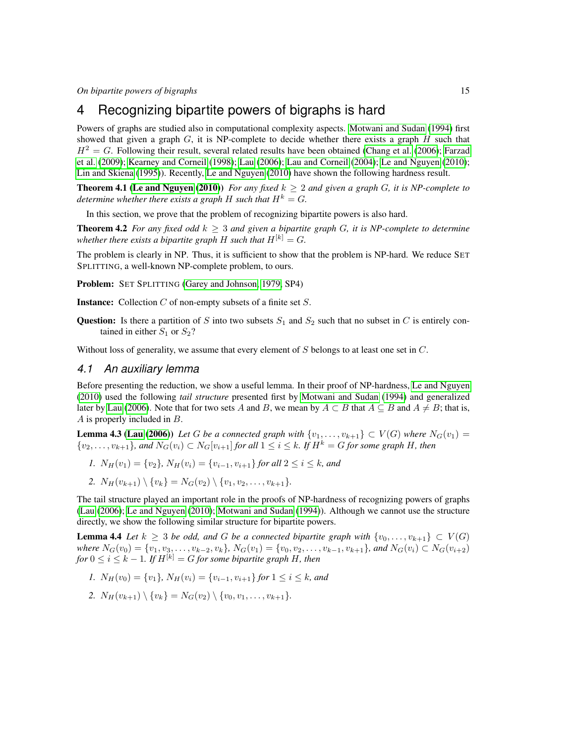## 4 Recognizing bipartite powers of bigraphs is hard

Powers of graphs are studied also in computational complexity aspects. [Motwani and Sudan](#page-9-5) [\(1994\)](#page-9-5) first showed that given a graph  $G$ , it is NP-complete to decide whether there exists a graph  $H$  such that  $H^2 = G$ . Following their result, several related results have been obtained [\(Chang et al.](#page-8-0) [\(2006\)](#page-8-0); [Farzad](#page-8-1) [et al.](#page-8-1) [\(2009\)](#page-8-1); [Kearney and Corneil](#page-8-2) [\(1998\)](#page-8-2); [Lau](#page-9-1) [\(2006\)](#page-9-1); [Lau and Corneil](#page-9-2) [\(2004\)](#page-9-2); [Le and Nguyen](#page-9-3) [\(2010\)](#page-9-3); [Lin and Skiena](#page-9-4) [\(1995\)](#page-9-4)). Recently, [Le and Nguyen](#page-9-3) [\(2010\)](#page-9-3) have shown the following hardness result.

**Theorem 4.1 [\(Le and Nguyen](#page-9-3) [\(2010\)](#page-9-3))** *For any fixed*  $k \geq 2$  *and given a graph G, it is NP-complete to determine whether there exists a graph* H *such that*  $H^k = G$ .

In this section, we prove that the problem of recognizing bipartite powers is also hard.

**Theorem 4.2** *For any fixed odd*  $k \geq 3$  *and given a bipartite graph G, it is NP-complete to determine whether there exists a bipartite graph* H *such that*  $H^{[k]} = G$ .

The problem is clearly in NP. Thus, it is sufficient to show that the problem is NP-hard. We reduce SET SPLITTING, a well-known NP-complete problem, to ours.

Problem: SET SPLITTING [\(Garey and Johnson, 1979,](#page-8-9) SP4)

**Instance:** Collection  $C$  of non-empty subsets of a finite set  $S$ .

**Question:** Is there a partition of S into two subsets  $S_1$  and  $S_2$  such that no subset in C is entirely contained in either  $S_1$  or  $S_2$ ?

Without loss of generality, we assume that every element of  $S$  belongs to at least one set in  $C$ .

#### *4.1 An auxiliary lemma*

Before presenting the reduction, we show a useful lemma. In their proof of NP-hardness, [Le and Nguyen](#page-9-3) [\(2010\)](#page-9-3) used the following *tail structure* presented first by [Motwani and Sudan](#page-9-5) [\(1994\)](#page-9-5) and generalized later by [Lau](#page-9-1) [\(2006\)](#page-9-1). Note that for two sets A and B, we mean by  $A \subset B$  that  $A \subseteq B$  and  $A \neq B$ ; that is, A is properly included in B.

**Lemma 4.3 [\(Lau](#page-9-1) [\(2006\)](#page-9-1))** Let G be a connected graph with  $\{v_1, \ldots, v_{k+1}\} \subset V(G)$  where  $N_G(v_1)$  $\{v_2, \ldots, v_{k+1}\}\$ , and  $N_G(v_i) \subset N_G[v_{i+1}]$  *for all*  $1 \leq i \leq k$ *. If*  $H^k = G$  *for some graph H, then* 

- *1.*  $N_H(v_1) = \{v_2\}$ ,  $N_H(v_i) = \{v_{i-1}, v_{i+1}\}$  for all  $2 \le i \le k$ , and
- <span id="page-4-0"></span>2.  $N_H(v_{k+1}) \setminus \{v_k\} = N_G(v_2) \setminus \{v_1, v_2, \ldots, v_{k+1}\}.$

The tail structure played an important role in the proofs of NP-hardness of recognizing powers of graphs [\(Lau](#page-9-1) [\(2006\)](#page-9-1); [Le and Nguyen](#page-9-3) [\(2010\)](#page-9-3); [Motwani and Sudan](#page-9-5) [\(1994\)](#page-9-5)). Although we cannot use the structure directly, we show the following similar structure for bipartite powers.

**Lemma 4.4** *Let*  $k \geq 3$  *be odd, and G be a connected bipartite graph with*  $\{v_0, \ldots, v_{k+1}\} \subset V(G)$ *where*  $N_G(v_0) = \{v_1, v_3, \ldots, v_{k-2}, v_k\}$ ,  $N_G(v_1) = \{v_0, v_2, \ldots, v_{k-1}, v_{k+1}\}$ , and  $N_G(v_i)$  ⊂  $N_G(v_{i+2})$ *for*  $0 \le i \le k - 1$ *. If*  $H^{[k]} = G$  *for some bipartite graph* H, then

- *1.*  $N_H(v_0) = \{v_1\}$ ,  $N_H(v_i) = \{v_{i-1}, v_{i+1}\}$  for  $1 \le i \le k$ , and
- 2.  $N_H(v_{k+1}) \setminus \{v_k\} = N_G(v_2) \setminus \{v_0, v_1, \ldots, v_{k+1}\}.$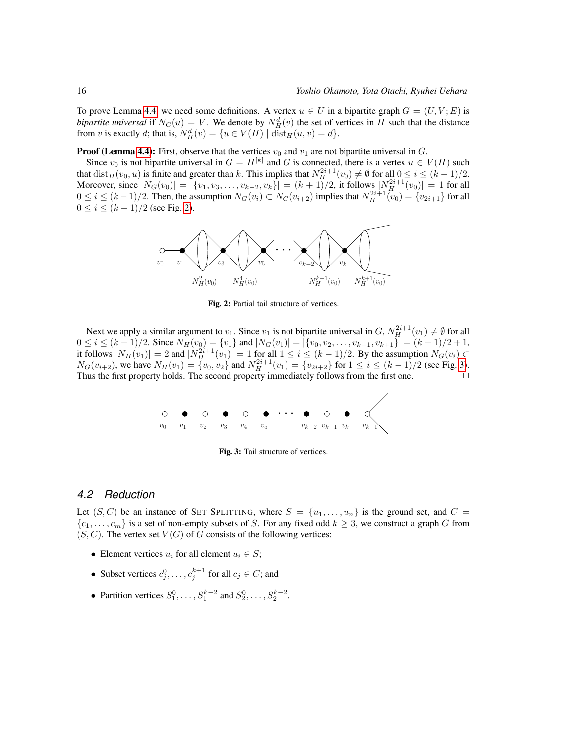To prove Lemma [4.4,](#page-4-0) we need some definitions. A vertex  $u \in U$  in a bipartite graph  $G = (U, V; E)$  is *bipartite universal* if  $N_G(u) = V$ . We denote by  $N_H^d(v)$  the set of vertices in H such that the distance from v is exactly d; that is,  $N_H^d(v) = \{u \in V(H) \mid \text{dist}_H(u, v) = d\}.$ 

**Proof (Lemma [4.4\)](#page-4-0):** First, observe that the vertices  $v_0$  and  $v_1$  are not bipartite universal in G.

Since  $v_0$  is not bipartite universal in  $G = H^{[k]}$  and G is connected, there is a vertex  $u \in V(H)$  such that  $dist_H(v_0, u)$  is finite and greater than k. This implies that  $N_H^{2i+1}(v_0) \neq \emptyset$  for all  $0 \leq i \leq (k-1)/2$ . Moreover, since  $|N_G(v_0)| = |\{v_1, v_3, \ldots, v_{k-2}, v_k\}| = (k+1)/2$ , it follows  $|N_H^{2i+1}(v_0)| = 1$  for all  $0 \le i \le (k-1)/2$ . Then, the assumption  $N_G(v_i) \subset N_G(v_{i+2})$  implies that  $N_H^{2i+1}(v_0) = \{v_{2i+1}\}\$  for all  $0 \le i \le (k-1)/2$  (see Fig. [2\)](#page-5-0).



<span id="page-5-0"></span>Fig. 2: Partial tail structure of vertices.

Next we apply a similar argument to  $v_1$ . Since  $v_1$  is not bipartite universal in  $G, N_H^{2i+1}(v_1) \neq \emptyset$  for all  $0 \le i \le (k-1)/2$ . Since  $N_H(v_0) = \{v_1\}$  and  $|N_G(v_1)| = |\{v_0, v_2, \ldots, v_{k-1}, v_{k+1}\}| = (k+1)/2 + 1$ , it follows  $|N_H(v_1)| = 2$  and  $|N_H^{2i+1}(v_1)| = 1$  for all  $1 \le i \le (k-1)/2$ . By the assumption  $N_G(v_i) \subset$  $N_G(v_{i+2})$ , we have  $N_H(v_1) = \{v_0, v_2\}$  and  $N_H^{2i+1}(v_1) = \{v_{2i+2}\}$  for  $1 \le i \le (k-1)/2$  (see Fig. [3\)](#page-5-1). Thus the first property holds. The second property immediately follows from the first one.



<span id="page-5-1"></span>Fig. 3: Tail structure of vertices.

#### *4.2 Reduction*

Let  $(S, C)$  be an instance of SET SPLITTING, where  $S = \{u_1, \ldots, u_n\}$  is the ground set, and  $C =$  ${c_1, \ldots, c_m}$  is a set of non-empty subsets of S. For any fixed odd  $k \geq 3$ , we construct a graph G from  $(S, C)$ . The vertex set  $V(G)$  of G consists of the following vertices:

- Element vertices  $u_i$  for all element  $u_i \in S$ ;
- Subset vertices  $c_j^0, \ldots, c_j^{k+1}$  for all  $c_j \in C$ ; and
- Partition vertices  $S_1^0, \ldots, S_1^{k-2}$  and  $S_2^0, \ldots, S_2^{k-2}$ .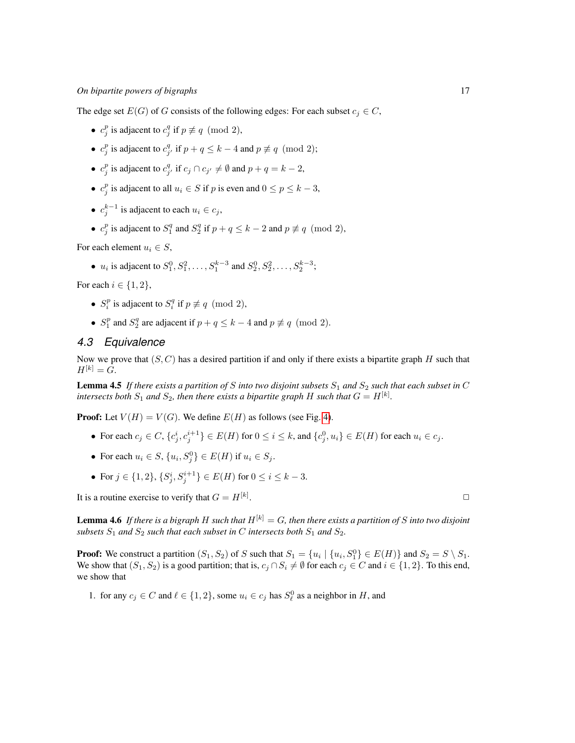#### *On bipartite powers of bigraphs* 17

The edge set  $E(G)$  of G consists of the following edges: For each subset  $c_i \in C$ ,

- $c_j^p$  is adjacent to  $c_j^q$  if  $p \not\equiv q \pmod{2}$ ,
- $c_j^p$  is adjacent to  $c_{j'}^q$  if  $p + q \leq k 4$  and  $p \not\equiv q \pmod{2}$ ;
- $c_j^p$  is adjacent to  $c_{j'}^q$  if  $c_j \cap c_{j'} \neq \emptyset$  and  $p + q = k 2$ ,
- $c_j^p$  is adjacent to all  $u_i \in S$  if p is even and  $0 \le p \le k 3$ ,
- $c_j^{k-1}$  is adjacent to each  $u_i \in c_j$ ,
- $c_j^p$  is adjacent to  $S_1^q$  and  $S_2^q$  if  $p + q \le k 2$  and  $p \not\equiv q \pmod{2}$ ,

For each element  $u_i \in S$ ,

•  $u_i$  is adjacent to  $S_1^0, S_1^2, \ldots, S_1^{k-3}$  and  $S_2^0, S_2^2, \ldots, S_2^{k-3}$ ;

For each  $i \in \{1, 2\}$ ,

- $S_i^p$  is adjacent to  $S_i^q$  if  $p \not\equiv q \pmod{2}$ ,
- $S_1^p$  and  $S_2^q$  are adjacent if  $p + q \leq k 4$  and  $p \not\equiv q \pmod{2}$ .

## *4.3 Equivalence*

Now we prove that  $(S, C)$  has a desired partition if and only if there exists a bipartite graph  $H$  such that  $H^{[k]} = G.$ 

**Lemma 4.5** If there exists a partition of S into two disjoint subsets  $S_1$  and  $S_2$  such that each subset in C intersects both  $S_1$  and  $S_2$ , then there exists a bipartite graph H such that  $G = H^{[k]}$ .

**Proof:** Let  $V(H) = V(G)$ . We define  $E(H)$  as follows (see Fig. [4\)](#page-7-0).

- For each  $c_j \in C$ ,  $\{c_j^i, c_j^{i+1}\} \in E(H)$  for  $0 \le i \le k$ , and  $\{c_j^0, u_i\} \in E(H)$  for each  $u_i \in c_j$ .
- For each  $u_i \in S$ ,  $\{u_i, S_j^0\} \in E(H)$  if  $u_i \in S_j$ .
- For  $j \in \{1, 2\}, \{S_j^i, S_j^{i+1}\} \in E(H)$  for  $0 \le i \le k-3$ .

It is a routine exercise to verify that  $G = H^{[k]}$ .

**Lemma 4.6** If there is a bigraph H such that  $H^{[k]} = G$ , then there exists a partition of S into two disjoint *subsets*  $S_1$  *and*  $S_2$  *such that each subset in C intersects both*  $S_1$  *and*  $S_2$ *.* 

**Proof:** We construct a partition  $(S_1, S_2)$  of S such that  $S_1 = \{u_i \mid \{u_i, S_1^0\} \in E(H)\}\$  and  $S_2 = S \setminus S_1$ . We show that  $(S_1, S_2)$  is a good partition; that is,  $c_j \cap S_i \neq \emptyset$  for each  $c_j \in C$  and  $i \in \{1, 2\}$ . To this end, we show that

1. for any  $c_j \in C$  and  $\ell \in \{1, 2\}$ , some  $u_i \in c_j$  has  $S^0_{\ell}$  as a neighbor in H, and

. ✷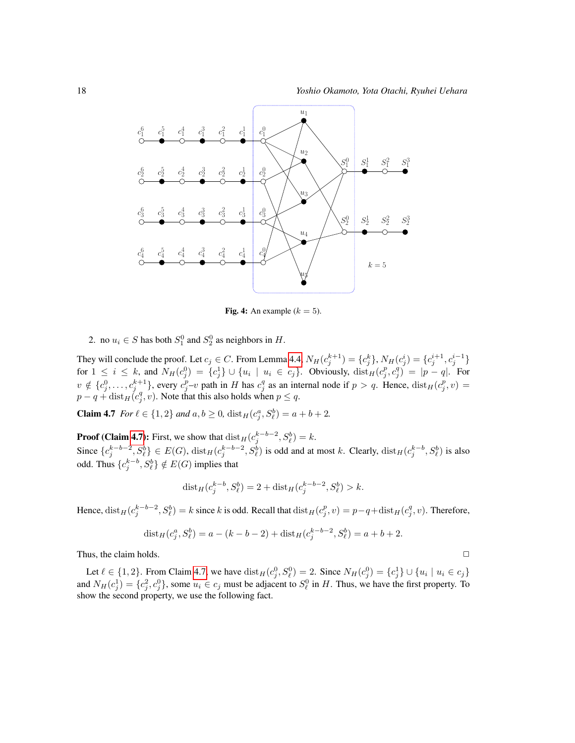

<span id="page-7-1"></span><span id="page-7-0"></span>Fig. 4: An example  $(k = 5)$ .

2. no  $u_i \in S$  has both  $S_1^0$  and  $S_2^0$  as neighbors in  $H$ .

They will conclude the proof. Let  $c_j \in C$ . From Lemma [4.4,](#page-4-0)  $N_H(c_j^{k+1}) = \{c_j^k\}$ ,  $N_H(c_j^i) = \{c_j^{i+1}, c_j^{i-1}\}$ for  $1 \leq i \leq k$ , and  $N_H(c_j^0) = \{c_j^1\} \cup \{u_i \mid u_i \in c_j\}$ . Obviously,  $dist_H(c_j^p, c_j^q) = |p - q|$ . For  $v \notin \{c_j^0, \ldots, c_{j_q}^{k+1}\},$  every  $c_j^p - v$  path in H has  $c_j^q$  as an internal node if  $p > q$ . Hence,  $dist_H(c_j^p, v) =$  $p - q + \text{dist}_{H}(c_j^q, v)$ . Note that this also holds when  $p \leq q$ .

**Claim 4.7** *For*  $l \in \{1, 2\}$  *and*  $a, b \ge 0$ ,  $dist_H(c_j^a, S_\ell^b) = a + b + 2$ *.* 

**Proof (Claim [4.7\)](#page-7-1):** First, we show that  $dist_H(c_j^{k-b-2}, S_\ell^b) = k$ . Since  $\{c_j^{k-b-2}, S_\ell^b\} \in E(G)$ ,  $dist_H(c_j^{k-b-2}, S_\ell^b)$  is odd and at most k. Clearly,  $dist_H(c_j^{k-b}, S_\ell^b)$  is also odd. Thus  $\{c_j^{k-b}, S_\ell^b\} \notin E(G)$  implies that

<span id="page-7-2"></span>
$$
dist_H(c_j^{k-b}, S_\ell^b) = 2 + dist_H(c_j^{k-b-2}, S_\ell^b) > k.
$$

Hence,  $dist_H(c_j^{k-b-2}, S_\ell^b) = k$  since k is odd. Recall that  $dist_H(c_j^p, v) = p-q+dist_H(c_j^q, v)$ . Therefore,

$$
dist_H(c_j^a, S_\ell^b) = a - (k - b - 2) + dist_H(c_j^{k-b-2}, S_\ell^b) = a + b + 2.
$$

Thus, the claim holds.  $\Box$ 

Let  $\ell \in \{1, 2\}$ . From Claim [4.7,](#page-7-1) we have  $dist_H(c_j^0, S_\ell^0) = 2$ . Since  $N_H(c_j^0) = \{c_j^1\} \cup \{u_i \mid u_i \in c_j\}$ and  $N_H(c_j^1) = \{c_j^2, c_j^0\}$ , some  $u_i \in c_j$  must be adjacent to  $S_\ell^0$  in H. Thus, we have the first property. To show the second property, we use the following fact.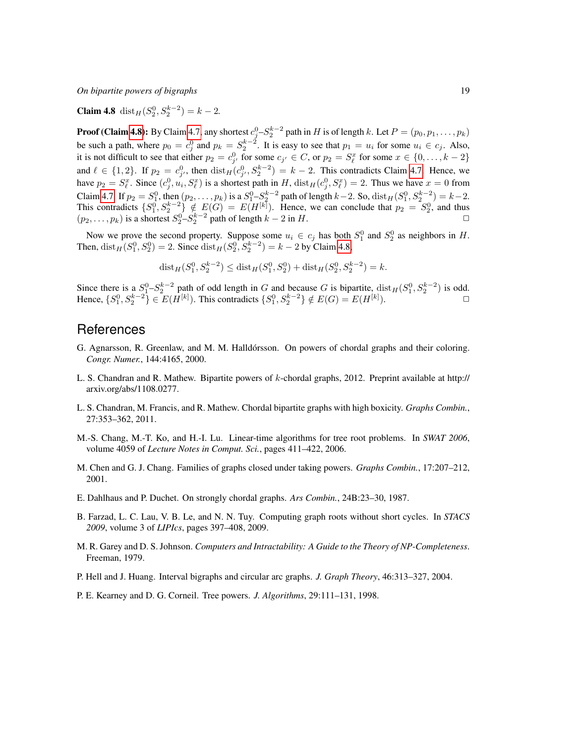*On bipartite powers of bigraphs* 19

**Claim 4.8** dist<sub>*H*</sub>( $S_2^0$ ,  $S_2^{k-2}$ ) =  $k-2$ .

**Proof (Claim [4.8\)](#page-7-2):** By Claim [4.7,](#page-7-1) any shortest  $c_j^0 - S_2^{k-2}$  path in H is of length k. Let  $P = (p_0, p_1, \dots, p_k)$ be such a path, where  $p_0 = c_j^0$  and  $p_k = S_2^{k-2}$ . It is easy to see that  $p_1 = u_i$  for some  $u_i \in c_j$ . Also, it is not difficult to see that either  $p_2 = c_{j'}^0$  for some  $c_{j'} \in C$ , or  $p_2 = S_\ell^x$  for some  $x \in \{0, \ldots, k-2\}$ and  $\ell \in \{1, 2\}$ . If  $p_2 = c_{j'}^0$ , then  $dist_H(c_{j'}^0, S_2^{k-2}) = k-2$ . This contradicts Claim [4.7.](#page-7-1) Hence, we have  $p_2 = S_{\ell}^x$ . Since  $(c_j^0, u_i, S_{\ell}^x)$  is a shortest path in H,  $dist_H(c_j^0, S_{\ell}^x) = 2$ . Thus we have  $x = 0$  from  $\ell$ . Since  $(c_j, u_i, \partial_\ell)$  is a shortest path in  $H$ ,  $dist_H(c_j, \partial_\ell)$ Claim [4.7.](#page-7-1) If  $p_2 = S_1^0$ , then  $(p_2, ..., p_k)$  is a  $S_1^0 - S_2^{k-2}$  path of length  $k-2$ . So,  $\text{dist}_H(S_1^0, S_2^{k-2}) = k-2$ . This contradicts  $\{S_1^0, S_2^{k-2}\}\notin E(G) = E(H^{[k]})$ . Hence, we can conclude that  $p_2 = S_2^0$ , and thus  $(p_2, \ldots, p_k)$  is a shortest  $S_2^0 - S_2^{k-2}$  path of length  $k - 2$  in H.

Now we prove the second property. Suppose some  $u_i \in c_j$  has both  $S_1^0$  and  $S_2^0$  as neighbors in H. Then,  $dist_H(S_1^0, S_2^0) = 2$ . Since  $dist_H(S_2^0, S_2^{k-2}) = k - 2$  by Claim [4.8,](#page-7-2)

$$
dist_H(S_1^0, S_2^{k-2}) \leq dist_H(S_1^0, S_2^0) + dist_H(S_2^0, S_2^{k-2}) = k.
$$

Since there is a  $S_1^0 - S_2^{k-2}$  path of odd length in G and because G is bipartite,  $dist_H(S_1^0, S_2^{k-2})$  is odd. Hence,  $\{S_1^0, S_2^{k-2}\}\in E(H^{[k]})$ . This contradicts  $\{S_1^0, S_2^{k-2}\}\notin E(G)=E(H^{[k]})$ .

## References

- <span id="page-8-8"></span>G. Agnarsson, R. Greenlaw, and M. M. Halldórsson. On powers of chordal graphs and their coloring. *Congr. Numer.*, 144:4165, 2000.
- <span id="page-8-4"></span>L. S. Chandran and R. Mathew. Bipartite powers of  $k$ -chordal graphs, 2012. Preprint available at http:// arxiv.org/abs/1108.0277.
- <span id="page-8-3"></span>L. S. Chandran, M. Francis, and R. Mathew. Chordal bipartite graphs with high boxicity. *Graphs Combin.*, 27:353–362, 2011.
- <span id="page-8-0"></span>M.-S. Chang, M.-T. Ko, and H.-I. Lu. Linear-time algorithms for tree root problems. In *SWAT 2006*, volume 4059 of *Lecture Notes in Comput. Sci.*, pages 411–422, 2006.
- <span id="page-8-6"></span>M. Chen and G. J. Chang. Families of graphs closed under taking powers. *Graphs Combin.*, 17:207–212, 2001.
- <span id="page-8-7"></span>E. Dahlhaus and P. Duchet. On strongly chordal graphs. *Ars Combin.*, 24B:23–30, 1987.
- <span id="page-8-1"></span>B. Farzad, L. C. Lau, V. B. Le, and N. N. Tuy. Computing graph roots without short cycles. In *STACS 2009*, volume 3 of *LIPIcs*, pages 397–408, 2009.
- <span id="page-8-9"></span>M. R. Garey and D. S. Johnson. *Computers and Intractability: A Guide to the Theory of NP-Completeness*. Freeman, 1979.
- <span id="page-8-5"></span>P. Hell and J. Huang. Interval bigraphs and circular arc graphs. *J. Graph Theory*, 46:313–327, 2004.
- <span id="page-8-2"></span>P. E. Kearney and D. G. Corneil. Tree powers. *J. Algorithms*, 29:111–131, 1998.